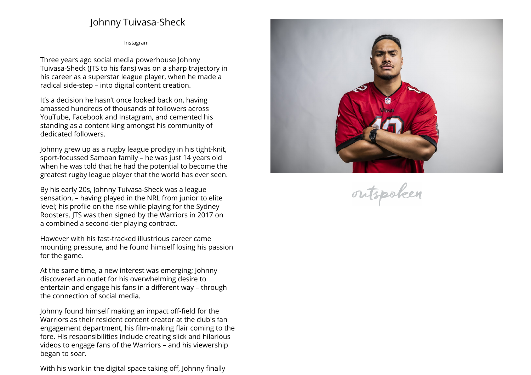## **Johnny Tuivasa-Sheck**

**[Instagram](https://www.instagram.com/johnnytuivasa)**

**Three years ago social media powerhouse Johnny Tuivasa-Sheck (JTS to his fans) was on <sup>a</sup> sharp trajectory in his career as <sup>a</sup> superstar league <sup>p</sup>layer, when he made <sup>a</sup> radical side-step – into digital content creation.**

**It's <sup>a</sup> decision he hasn't once looked back on, having amassed hundreds of thousands of followers across YouTube, Facebook and Instagram, and cemented his standing as <sup>a</sup> content king amongst his community of dedicated followers.**

**Johnny grew up as <sup>a</sup> rugby league prodigy in his tight-knit, sport-focussed Samoan family – he was just <sup>14</sup> years old when he was told that he had the potential to become the greatest rugby league <sup>p</sup>layer that the world has ever seen.**

**By his early 20s, Johnny Tuivasa-Sheck was <sup>a</sup> league sensation, – having <sup>p</sup>layed in the NRL from junior to elite level; his profile on the rise while <sup>p</sup>laying for the Sydney Roosters. JTS was then signed by the Warriors in <sup>2017</sup> on a combined <sup>a</sup> second-tier <sup>p</sup>laying contract.**

**However with his fast-tracked illustrious career came mounting pressure, and he found himself losing his passionfor the game.**

**At the same time, <sup>a</sup> new interest was emerging; Johnny discovered an outlet for his overwhelming desire to entertain and engage his fans in <sup>a</sup> different way – through the connection of social media.**

**Johnny found himself making an impact off-field for the Warriors as their resident content creator at the club's fan engagement department, his film-making flair coming to the fore. His responsibilities include creating slick and hilarious videos to engage fans of the Warriors – and his viewership began to soar.**

**With his work in the digital space taking off, Johnny finally**



outspoken